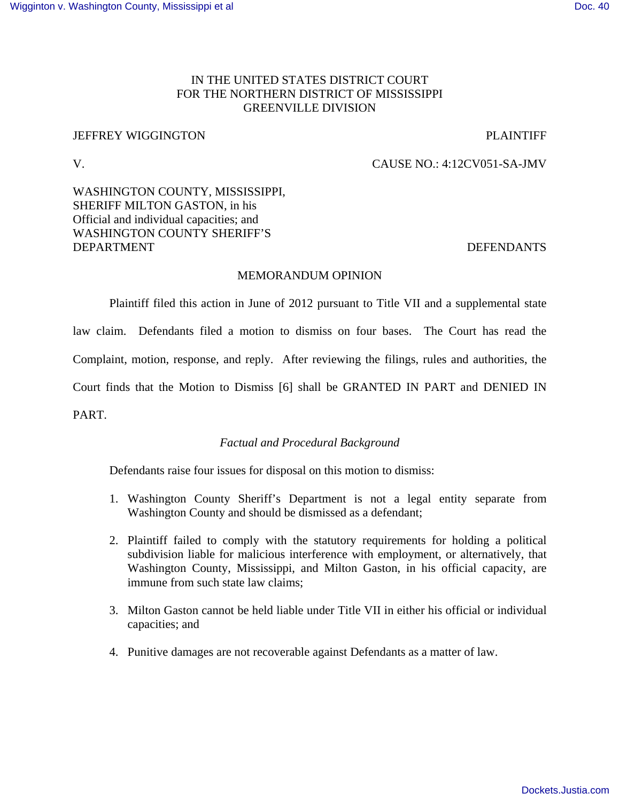# IN THE UNITED STATES DISTRICT COURT FOR THE NORTHERN DISTRICT OF MISSISSIPPI GREENVILLE DIVISION

# JEFFREY WIGGINGTON PLAINTIFF

# V. CAUSE NO.: 4:12CV051-SA-JMV

# WASHINGTON COUNTY, MISSISSIPPI, SHERIFF MILTON GASTON, in his Official and individual capacities; and WASHINGTON COUNTY SHERIFF'S DEPARTMENT DEFENDANTS

# MEMORANDUM OPINION

Plaintiff filed this action in June of 2012 pursuant to Title VII and a supplemental state

law claim. Defendants filed a motion to dismiss on four bases. The Court has read the

Complaint, motion, response, and reply. After reviewing the filings, rules and authorities, the

Court finds that the Motion to Dismiss [6] shall be GRANTED IN PART and DENIED IN

PART.

# *Factual and Procedural Background*

Defendants raise four issues for disposal on this motion to dismiss:

- 1. Washington County Sheriff's Department is not a legal entity separate from Washington County and should be dismissed as a defendant;
- 2. Plaintiff failed to comply with the statutory requirements for holding a political subdivision liable for malicious interference with employment, or alternatively, that Washington County, Mississippi, and Milton Gaston, in his official capacity, are immune from such state law claims;
- 3. Milton Gaston cannot be held liable under Title VII in either his official or individual capacities; and
- 4. Punitive damages are not recoverable against Defendants as a matter of law.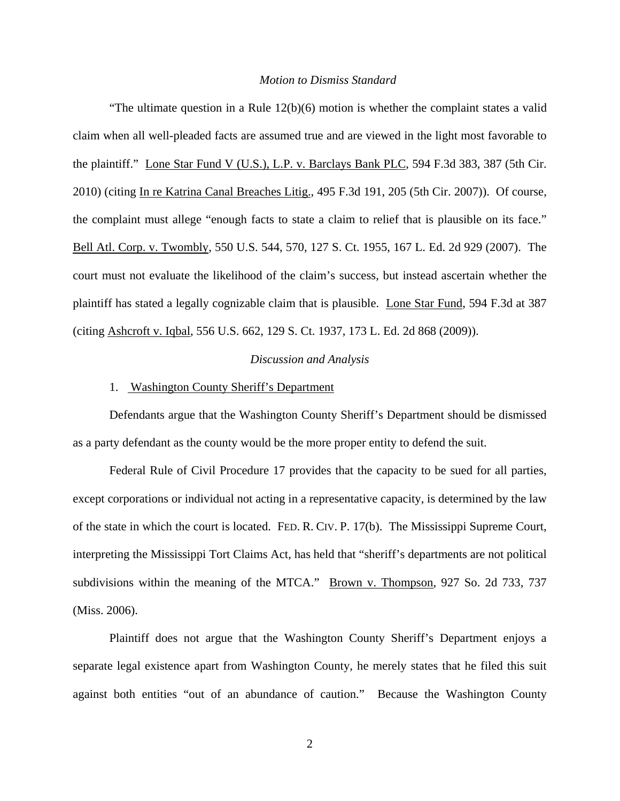### *Motion to Dismiss Standard*

"The ultimate question in a Rule  $12(b)(6)$  motion is whether the complaint states a valid claim when all well-pleaded facts are assumed true and are viewed in the light most favorable to the plaintiff." Lone Star Fund V (U.S.), L.P. v. Barclays Bank PLC, 594 F.3d 383, 387 (5th Cir. 2010) (citing In re Katrina Canal Breaches Litig., 495 F.3d 191, 205 (5th Cir. 2007)). Of course, the complaint must allege "enough facts to state a claim to relief that is plausible on its face." Bell Atl. Corp. v. Twombly, 550 U.S. 544, 570, 127 S. Ct. 1955, 167 L. Ed. 2d 929 (2007). The court must not evaluate the likelihood of the claim's success, but instead ascertain whether the plaintiff has stated a legally cognizable claim that is plausible. Lone Star Fund, 594 F.3d at 387 (citing Ashcroft v. Iqbal, 556 U.S. 662, 129 S. Ct. 1937, 173 L. Ed. 2d 868 (2009)).

## *Discussion and Analysis*

## 1. Washington County Sheriff's Department

Defendants argue that the Washington County Sheriff's Department should be dismissed as a party defendant as the county would be the more proper entity to defend the suit.

Federal Rule of Civil Procedure 17 provides that the capacity to be sued for all parties, except corporations or individual not acting in a representative capacity, is determined by the law of the state in which the court is located. FED. R. CIV. P. 17(b). The Mississippi Supreme Court, interpreting the Mississippi Tort Claims Act, has held that "sheriff's departments are not political subdivisions within the meaning of the MTCA." Brown v. Thompson, 927 So. 2d 733, 737 (Miss. 2006).

Plaintiff does not argue that the Washington County Sheriff's Department enjoys a separate legal existence apart from Washington County, he merely states that he filed this suit against both entities "out of an abundance of caution." Because the Washington County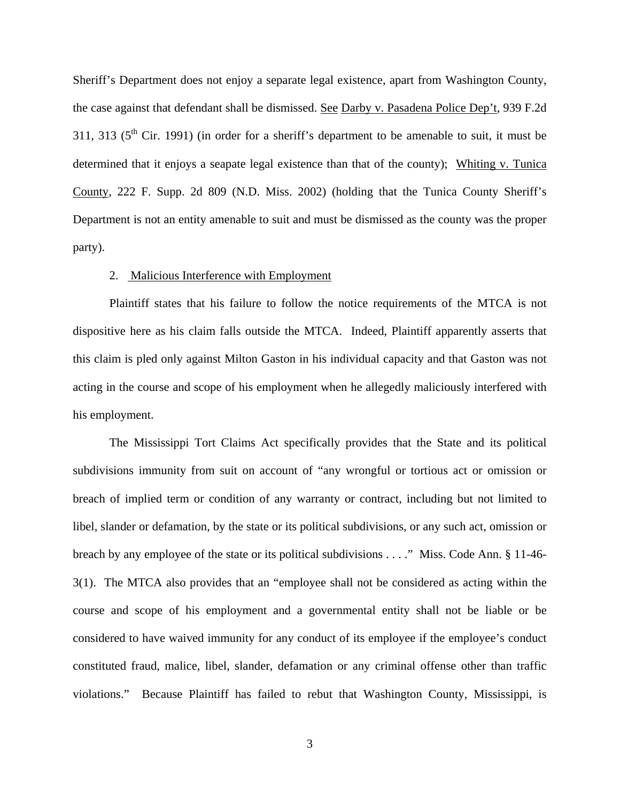Sheriff's Department does not enjoy a separate legal existence, apart from Washington County, the case against that defendant shall be dismissed. See Darby v. Pasadena Police Dep't, 939 F.2d 311, 313 ( $5<sup>th</sup>$  Cir. 1991) (in order for a sheriff's department to be amenable to suit, it must be determined that it enjoys a seapate legal existence than that of the county); Whiting v. Tunica County, 222 F. Supp. 2d 809 (N.D. Miss. 2002) (holding that the Tunica County Sheriff's Department is not an entity amenable to suit and must be dismissed as the county was the proper party).

## 2. Malicious Interference with Employment

Plaintiff states that his failure to follow the notice requirements of the MTCA is not dispositive here as his claim falls outside the MTCA. Indeed, Plaintiff apparently asserts that this claim is pled only against Milton Gaston in his individual capacity and that Gaston was not acting in the course and scope of his employment when he allegedly maliciously interfered with his employment.

The Mississippi Tort Claims Act specifically provides that the State and its political subdivisions immunity from suit on account of "any wrongful or tortious act or omission or breach of implied term or condition of any warranty or contract, including but not limited to libel, slander or defamation, by the state or its political subdivisions, or any such act, omission or breach by any employee of the state or its political subdivisions . . . ." Miss. Code Ann. § 11-46- 3(1). The MTCA also provides that an "employee shall not be considered as acting within the course and scope of his employment and a governmental entity shall not be liable or be considered to have waived immunity for any conduct of its employee if the employee's conduct constituted fraud, malice, libel, slander, defamation or any criminal offense other than traffic violations." Because Plaintiff has failed to rebut that Washington County, Mississippi, is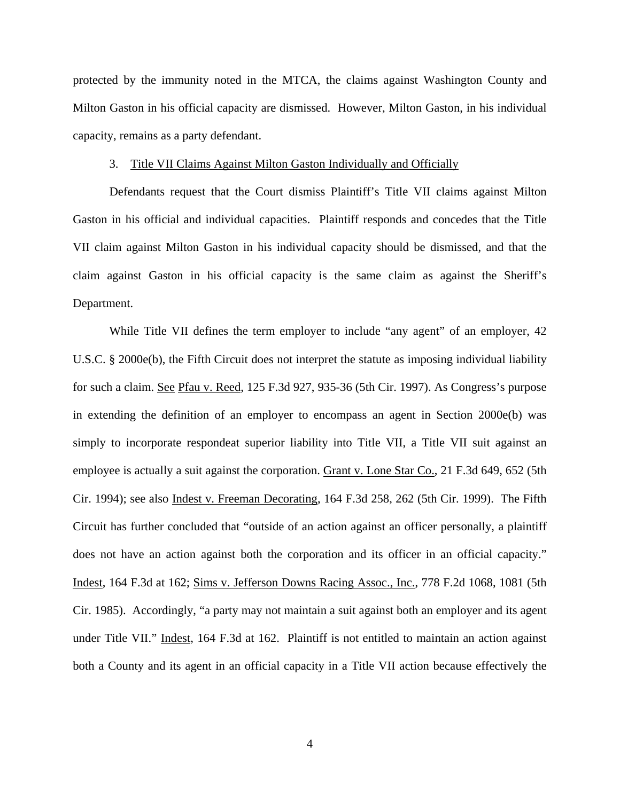protected by the immunity noted in the MTCA, the claims against Washington County and Milton Gaston in his official capacity are dismissed. However, Milton Gaston, in his individual capacity, remains as a party defendant.

## 3. Title VII Claims Against Milton Gaston Individually and Officially

Defendants request that the Court dismiss Plaintiff's Title VII claims against Milton Gaston in his official and individual capacities. Plaintiff responds and concedes that the Title VII claim against Milton Gaston in his individual capacity should be dismissed, and that the claim against Gaston in his official capacity is the same claim as against the Sheriff's Department.

While Title VII defines the term employer to include "any agent" of an employer, 42 U.S.C. § 2000e(b), the Fifth Circuit does not interpret the statute as imposing individual liability for such a claim. See Pfau v. Reed, 125 F.3d 927, 935-36 (5th Cir. 1997). As Congress's purpose in extending the definition of an employer to encompass an agent in Section 2000e(b) was simply to incorporate respondeat superior liability into Title VII, a Title VII suit against an employee is actually a suit against the corporation. Grant v. Lone Star Co., 21 F.3d 649, 652 (5th Cir. 1994); see also Indest v. Freeman Decorating, 164 F.3d 258, 262 (5th Cir. 1999). The Fifth Circuit has further concluded that "outside of an action against an officer personally, a plaintiff does not have an action against both the corporation and its officer in an official capacity." Indest, 164 F.3d at 162; Sims v. Jefferson Downs Racing Assoc., Inc., 778 F.2d 1068, 1081 (5th Cir. 1985). Accordingly, "a party may not maintain a suit against both an employer and its agent under Title VII." Indest, 164 F.3d at 162. Plaintiff is not entitled to maintain an action against both a County and its agent in an official capacity in a Title VII action because effectively the